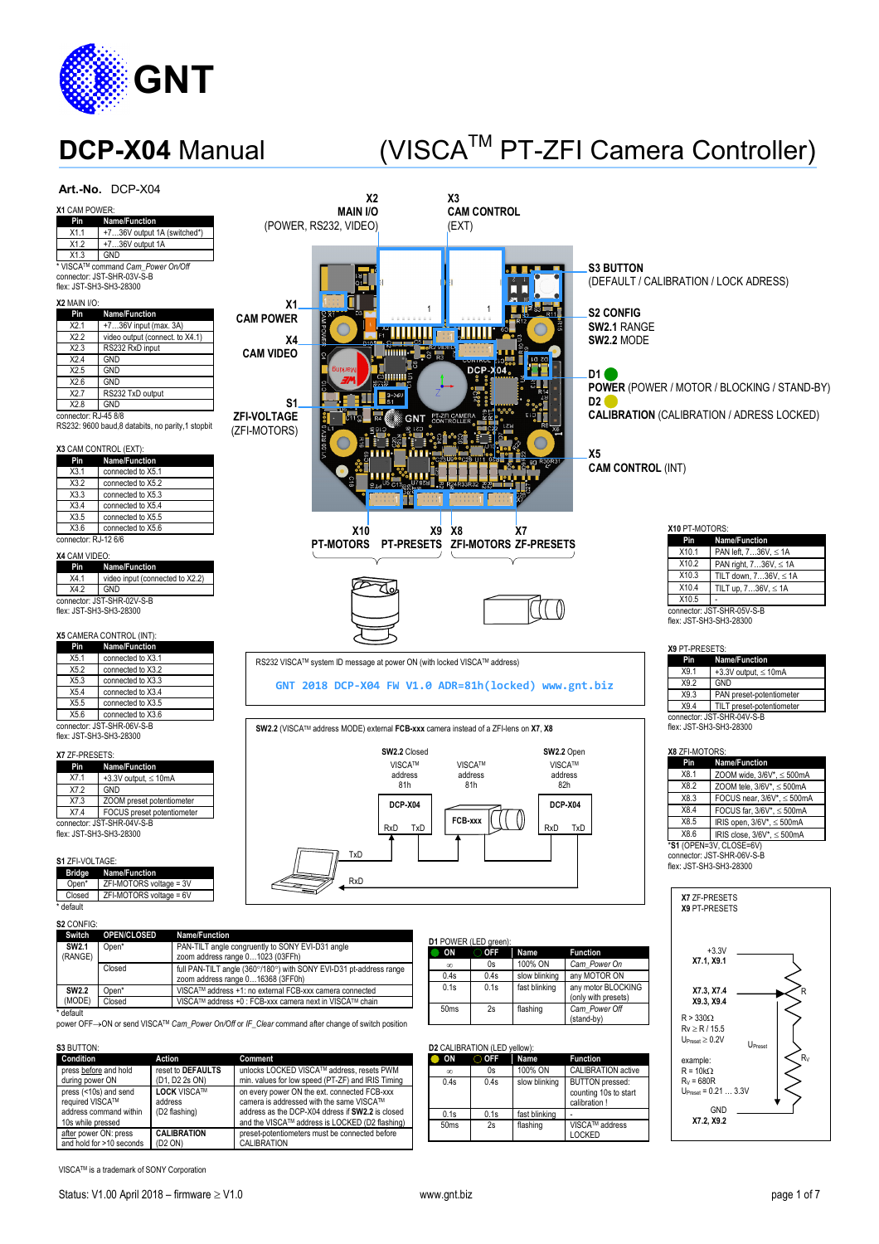

## **DCP-X04** Manual (VISCA™ PT-ZFI Camera Controller)



VISCATM is a trademark of SONY Corporation

0.1s 0.1s fast blinking

50ms 2s flashing VISCATM address

counting 10s to start calibration !

LOCKED

**GND X7.2, X9.2**

 $U_{\text{Presset}} = 0.21 ... 3.3V$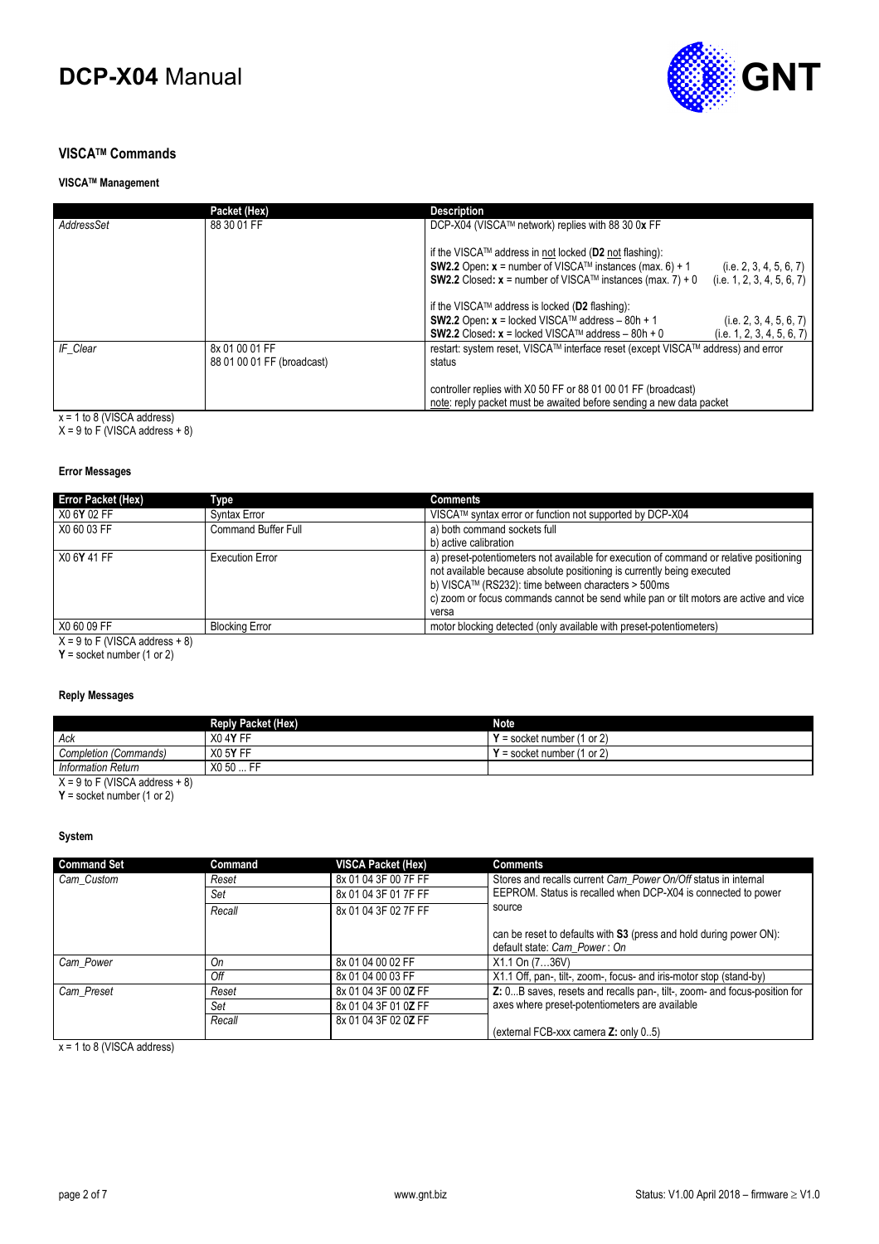

#### **VISCATM Commands**

#### **VISCATM Management**

|            | Packet (Hex)                                 | <b>Description</b>                                                                                                                                                                                            |                                                       |
|------------|----------------------------------------------|---------------------------------------------------------------------------------------------------------------------------------------------------------------------------------------------------------------|-------------------------------------------------------|
| AddressSet | 88 30 01 FF                                  | DCP-X04 (VISCA™ network) replies with 88 30 0x FF                                                                                                                                                             |                                                       |
|            |                                              | if the VISCA™ address in not locked (D2 not flashing):<br><b>SW2.2</b> Open: $x =$ number of VISCA <sup>TM</sup> instances (max. 6) + 1<br><b>SW2.2</b> Closed: $x =$ number of VISCA™ instances (max. 7) + 0 | (i.e. 2, 3, 4, 5, 6, 7)<br>(i.e. 1, 2, 3, 4, 5, 6, 7) |
|            |                                              | if the VISCA™ address is locked (D2 flashing):<br><b>SW2.2</b> Open: $x =$ locked VISCA™ address – 80h + 1<br><b>SW2.2</b> Closed: $x =$ locked VISCA™ address – 80h + 0                                      | (i.e. 2, 3, 4, 5, 6, 7)<br>(i.e. 1, 2, 3, 4, 5, 6, 7) |
| IF Clear   | 8x 01 00 01 FF<br>88 01 00 01 FF (broadcast) | restart: system reset, VISCA™ interface reset (except VISCA™ address) and error<br>status                                                                                                                     |                                                       |
|            |                                              | controller replies with X0 50 FF or 88 01 00 01 FF (broadcast)<br>note: reply packet must be awaited before sending a new data packet                                                                         |                                                       |

x = 1 to 8 (VISCA address)

 $X = 9$  to F (VISCA address  $+ 8$ )

#### **Error Messages**

| <b>Error Packet (Hex)</b>                    | Type                   | <b>Comments</b>                                                                                                                                                                                                                                                                                                           |
|----------------------------------------------|------------------------|---------------------------------------------------------------------------------------------------------------------------------------------------------------------------------------------------------------------------------------------------------------------------------------------------------------------------|
| X0 6Y 02 FF                                  | <b>Syntax Error</b>    | VISCA™ syntax error or function not supported by DCP-X04                                                                                                                                                                                                                                                                  |
| X0 60 03 FF                                  | Command Buffer Full    | a) both command sockets full                                                                                                                                                                                                                                                                                              |
|                                              |                        | b) active calibration                                                                                                                                                                                                                                                                                                     |
| X0 6Y 41 FF                                  | <b>Execution Error</b> | a) preset-potentiometers not available for execution of command or relative positioning<br>not available because absolute positioning is currently being executed<br>b) VISCA™ (RS232): time between characters > 500ms<br>c) zoom or focus commands cannot be send while pan or tilt motors are active and vice<br>versa |
| X0 60 09 FF                                  | <b>Blocking Error</b>  | motor blocking detected (only available with preset-potentiometers)                                                                                                                                                                                                                                                       |
| $V = 0$ to $\Gamma$ (NICCA address) $\Gamma$ |                        |                                                                                                                                                                                                                                                                                                                           |

 $X = 9$  to F (VISCA address  $+ 8$ )

**Y** = socket number (1 or 2)

#### **Reply Messages**

|                                  | <b>Reply Packet (Hex)</b>  | <b>Note</b>                       |
|----------------------------------|----------------------------|-----------------------------------|
| Ack                              | X <sub>0</sub> 4Y FF       | $\prime$ = socket number (1 or 2) |
| Completion (Commands)            | X0 5Y FF                   | ' = socket number (1 or 2)        |
| <b>Information Return</b>        | .  FF<br>X <sub>0</sub> 50 |                                   |
| $X = 9$ to F (VISCA address + 8) |                            |                                   |

**Y** = socket number (1 or 2)

#### **System**

| <b>Command Set</b> | Command | <b>VISCA Packet (Hex)</b> | <b>Comments</b>                                                                                    |
|--------------------|---------|---------------------------|----------------------------------------------------------------------------------------------------|
| Cam Custom         | Reset   | 8x 01 04 3F 00 7F FF      | Stores and recalls current Cam Power On/Off status in internal                                     |
|                    | Set     | 8x 01 04 3F 01 7F FF      | EEPROM. Status is recalled when DCP-X04 is connected to power                                      |
|                    | Recall  | 8x 01 04 3F 02 7F FF      | source                                                                                             |
|                    |         |                           | can be reset to defaults with S3 (press and hold during power ON):<br>default state: Cam Power: On |
| Cam_Power          | On      | 8x 01 04 00 02 FF         | X1.1 On (736V)                                                                                     |
|                    | Off     | 8x 01 04 00 03 FF         | X1.1 Off, pan-, tilt-, zoom-, focus- and iris-motor stop (stand-by)                                |
| Cam_Preset         | Reset   | 8x 01 04 3F 00 0Z FF      | Z: 0B saves, resets and recalls pan-, tilt-, zoom- and focus-position for                          |
|                    | Set     | 8x 01 04 3F 01 0Z FF      | axes where preset-potentiometers are available                                                     |
|                    | Recall  | 8x 01 04 3F 02 0Z FF      | (external FCB-xxx camera Z: only 05)                                                               |

 $x = 1$  to 8 (VISCA address)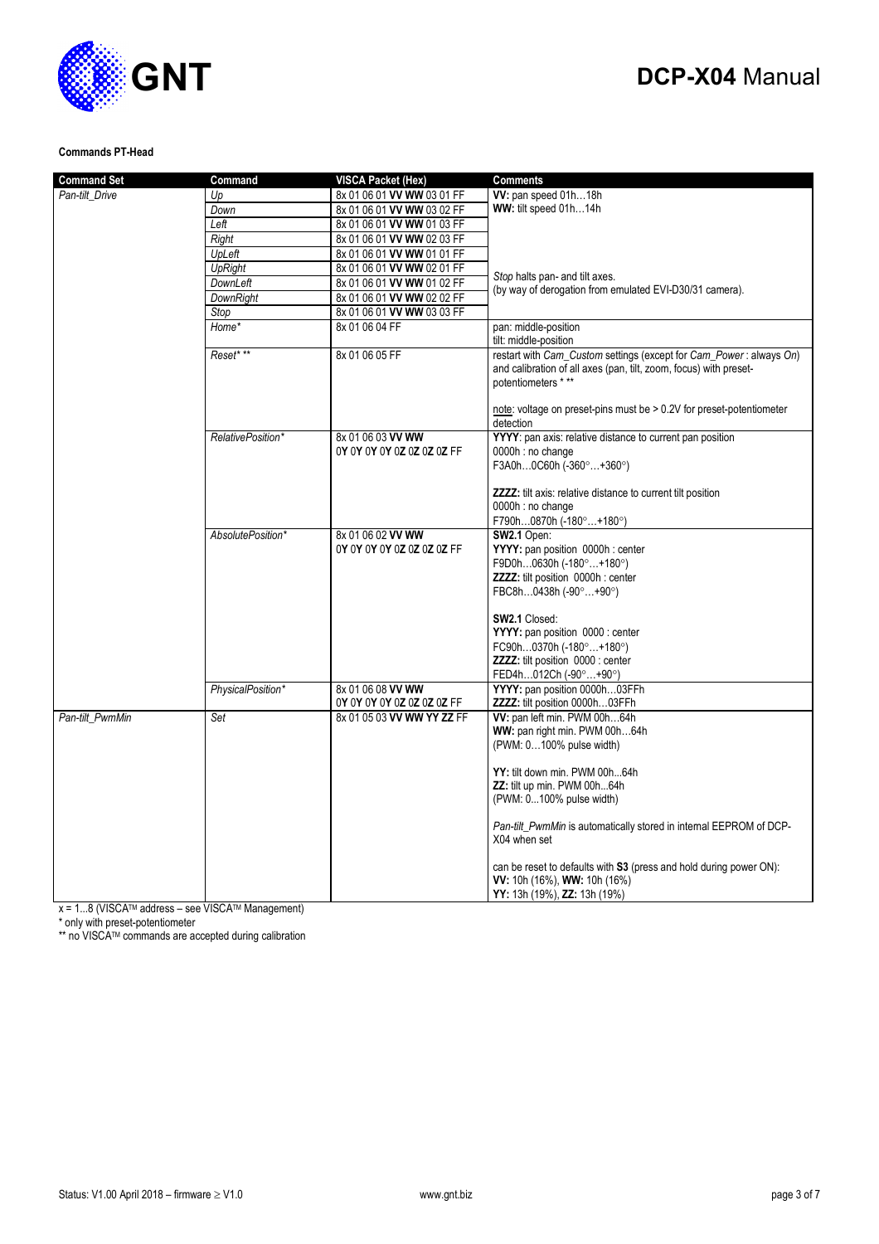# **GNT**

## **DCP-X04** Manual

### **Commands PT-Head**

| <b>Command Set</b> | Command           | <b>VISCA Packet (Hex)</b>                       | <b>Comments</b>                                                                                                                                                                                                                                                                   |
|--------------------|-------------------|-------------------------------------------------|-----------------------------------------------------------------------------------------------------------------------------------------------------------------------------------------------------------------------------------------------------------------------------------|
| Pan-tilt_Drive     | Up                | 8x 01 06 01 VV WW 03 01 FF                      | W: pan speed 01h18h                                                                                                                                                                                                                                                               |
|                    | Down              | 8x 01 06 01 VV WW 03 02 FF                      | WW: tilt speed 01h14h                                                                                                                                                                                                                                                             |
|                    | Left              | 8x 01 06 01 VV WW 01 03 FF                      |                                                                                                                                                                                                                                                                                   |
|                    | Right             | 8x 01 06 01 VV WW 02 03 FF                      |                                                                                                                                                                                                                                                                                   |
|                    | UpLeft            | 8x 01 06 01 VV WW 01 01 FF                      |                                                                                                                                                                                                                                                                                   |
|                    | <b>UpRight</b>    | 8x 01 06 01 VV WW 02 01 FF                      |                                                                                                                                                                                                                                                                                   |
|                    | DownLeft          | 8x 01 06 01 VV WW 01 02 FF                      | Stop halts pan- and tilt axes.                                                                                                                                                                                                                                                    |
|                    | <b>DownRight</b>  | 8x 01 06 01 VV WW 02 02 FF                      | (by way of derogation from emulated EVI-D30/31 camera).                                                                                                                                                                                                                           |
|                    | Stop              | 8x 01 06 01 VV WW 03 03 FF                      |                                                                                                                                                                                                                                                                                   |
|                    | Home*             | 8x 01 06 04 FF                                  | pan: middle-position                                                                                                                                                                                                                                                              |
|                    |                   |                                                 | tilt: middle-position                                                                                                                                                                                                                                                             |
|                    | Reset* **         | 8x 01 06 05 FF                                  | restart with Cam_Custom settings (except for Cam_Power: always On)<br>and calibration of all axes (pan, tilt, zoom, focus) with preset-<br>potentiometers ***                                                                                                                     |
|                    |                   |                                                 | note: voltage on preset-pins must be > 0.2V for preset-potentiometer<br>detection                                                                                                                                                                                                 |
|                    | RelativePosition* | 8x 01 06 03 VV WW<br>0Y 0Y 0Y 0Y 0Z 0Z 0Z 0Z FF | YYYY: pan axis: relative distance to current pan position<br>0000h : no change<br>F3A0h0C60h (-360°+360°)                                                                                                                                                                         |
|                    |                   |                                                 | ZZZZ: tilt axis: relative distance to current tilt position<br>0000h : no change<br>F790h0870h (-180°+180°)                                                                                                                                                                       |
|                    | AbsolutePosition* | 8x 01 06 02 VV WW<br>0Y 0Y 0Y 0Y 0Z 0Z 0Z 0Z FF | SW2.1 Open:<br>YYYY: pan position 0000h : center<br>F9D0h0630h (-180°+180°)<br><b>ZZZZ:</b> tilt position 0000h : center<br>FBC8h0438h (-90°+90°)                                                                                                                                 |
|                    |                   |                                                 | SW2.1 Closed:<br>YYYY: pan position 0000 : center<br>FC90h0370h (-180°+180°)<br><b>ZZZZ:</b> tilt position 0000 : center<br>FED4h012Ch (-90°+90°)                                                                                                                                 |
|                    | PhysicalPosition* | 8x 01 06 08 VV WW<br>0Y 0Y 0Y 0Y 0Z 0Z 0Z 0Z FF | YYYY: pan position 0000h03FFh<br>ZZZZ: tilt position 0000h03FFh                                                                                                                                                                                                                   |
| Pan-tilt PwmMin    | Set               | 8x 01 05 03 VV WW YY ZZ FF                      | W: pan left min. PWM 00h64h<br>WW: pan right min. PWM 00h64h<br>(PWM: 0100% pulse width)<br>YY: tilt down min. PWM 00h64h<br><b>ZZ:</b> tilt up min. PWM 00h64h<br>(PWM: 0100% pulse width)<br>Pan-tilt_PwmMin is automatically stored in internal EEPROM of DCP-<br>X04 when set |
|                    |                   |                                                 | can be reset to defaults with S3 (press and hold during power ON):<br>VV: 10h (16%), WW: 10h (16%)<br>YY: 13h (19%), ZZ: 13h (19%)                                                                                                                                                |

 $x = 1...8$  (VISCA<sup>TM</sup> address – see VISCA<sup>TM</sup> Management)

\* only with preset-potentiometer

\*\* no VISCATM commands are accepted during calibration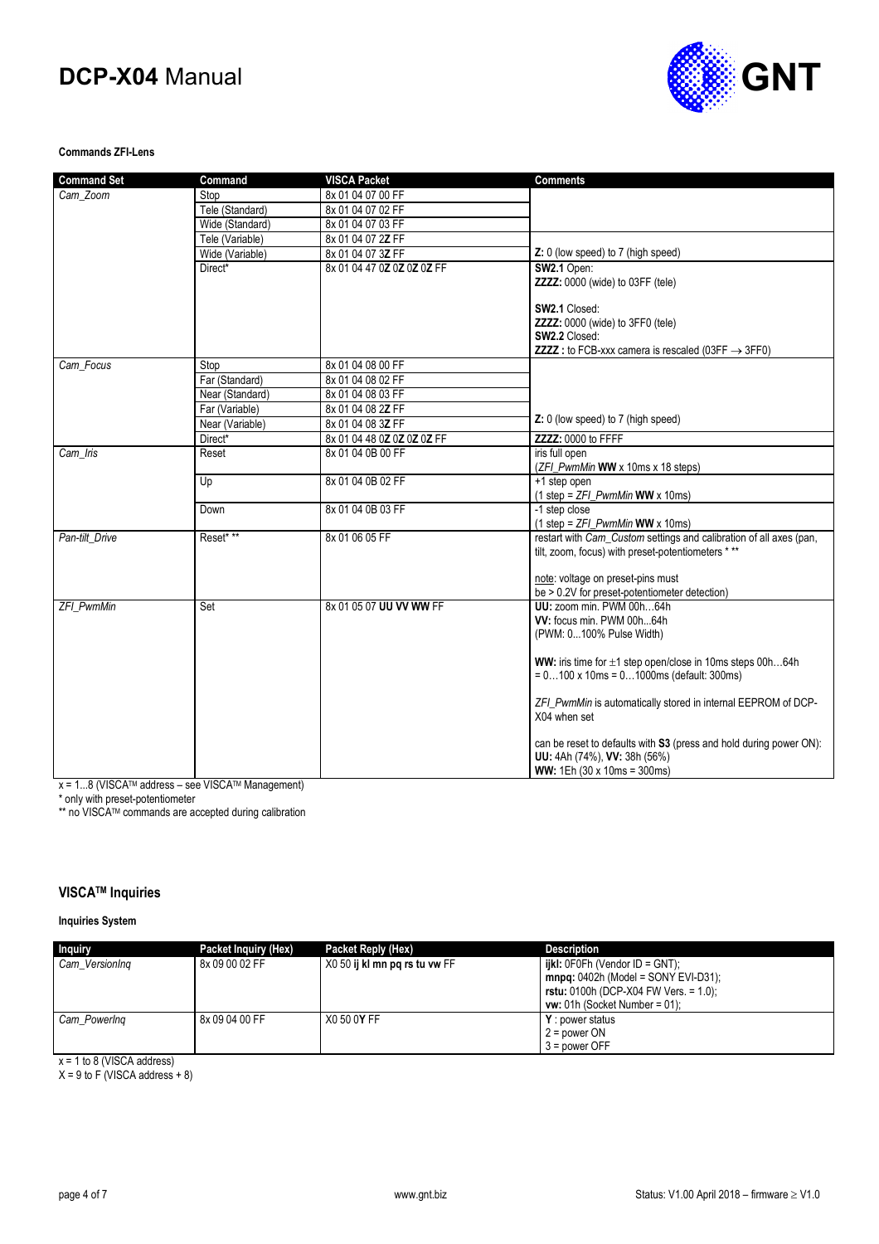

#### **Commands ZFI-Lens**

| <b>Command Set</b> | Command         | <b>VISCA Packet</b>        | <b>Comments</b>                                                       |
|--------------------|-----------------|----------------------------|-----------------------------------------------------------------------|
| Cam Zoom           | Stop            | 8x 01 04 07 00 FF          |                                                                       |
|                    | Tele (Standard) | 8x 01 04 07 02 FF          |                                                                       |
|                    | Wide (Standard) | 8x 01 04 07 03 FF          |                                                                       |
|                    | Tele (Variable) | 8x 01 04 07 2Z FF          |                                                                       |
|                    | Wide (Variable) | 8x 01 04 07 3Z FF          | Z: 0 (low speed) to 7 (high speed)                                    |
|                    | Direct*         | 8x 01 04 47 0Z 0Z 0Z 0Z FF | SW2.1 Open:                                                           |
|                    |                 |                            | ZZZZ: 0000 (wide) to 03FF (tele)                                      |
|                    |                 |                            | SW2.1 Closed:                                                         |
|                    |                 |                            | ZZZZ: 0000 (wide) to 3FF0 (tele)                                      |
|                    |                 |                            | SW2.2 Closed:                                                         |
|                    |                 |                            | <b>ZZZZ</b> : to FCB-xxx camera is rescaled (03FF $\rightarrow$ 3FF0) |
| Cam Focus          | Stop            | 8x 01 04 08 00 FF          |                                                                       |
|                    | Far (Standard)  | 8x 01 04 08 02 FF          |                                                                       |
|                    | Near (Standard) | 8x 01 04 08 03 FF          |                                                                       |
|                    | Far (Variable)  | 8x 01 04 08 2Z FF          |                                                                       |
|                    | Near (Variable) | 8x 01 04 08 3Z FF          | Z: 0 (low speed) to 7 (high speed)                                    |
|                    | Direct*         | 8x 01 04 48 0Z 0Z 0Z 0Z FF | ZZZZ: 0000 to FFFF                                                    |
| Cam Iris           | Reset           | 8x 01 04 0B 00 FF          | iris full open                                                        |
|                    |                 |                            | (ZFI_PwmMin WW x 10ms x 18 steps)                                     |
|                    | Up              | 8x 01 04 0B 02 FF          | +1 step open<br>$(1 \text{ step} = ZFI$ PwmMin WW x 10ms)             |
|                    | Down            | 8x 01 04 0B 03 FF          | -1 step close                                                         |
|                    |                 |                            | $(1 \text{ step} = ZFL$ <i>PwmMin</i> <b>WW</b> x 10ms)               |
| Pan-tilt Drive     | Reset* **       | 8x 01 06 05 FF             | restart with Cam_Custom settings and calibration of all axes (pan,    |
|                    |                 |                            | tilt, zoom, focus) with preset-potentiometers ***                     |
|                    |                 |                            | note: voltage on preset-pins must                                     |
|                    |                 |                            | be > 0.2V for preset-potentiometer detection)                         |
| <b>ZFI PwmMin</b>  | Set             | 8x 01 05 07 UU VV WW FF    | UU: zoom min. PWM 00h64h                                              |
|                    |                 |                            | VV: focus min. PWM 00h64h                                             |
|                    |                 |                            | (PWM: 0100% Pulse Width)                                              |
|                    |                 |                            |                                                                       |
|                    |                 |                            | <b>WW:</b> iris time for $\pm 1$ step open/close in 10ms steps 00h64h |
|                    |                 |                            | $= 0100 \times 10$ ms = 01000 ms (default: 300 ms)                    |
|                    |                 |                            | ZFI_PwmMin is automatically stored in internal EEPROM of DCP-         |
|                    |                 |                            | X04 when set                                                          |
|                    |                 |                            | can be reset to defaults with S3 (press and hold during power ON):    |
|                    |                 |                            | UU: 4Ah (74%), VV: 38h (56%)                                          |
|                    |                 |                            | WW: 1Eh (30 x 10ms = 300ms)                                           |

x = 1...8 (VISCATM address – see VISCATM Management)

\* only with preset-potentiometer

\*\* no VISCATM commands are accepted during calibration

#### **VISCATM Inquiries**

#### **Inquiries System**

| <b>Inquiry</b> | Packet Inquiry (Hex) | Packet Reply (Hex)            | <b>Description</b>                                                              |
|----------------|----------------------|-------------------------------|---------------------------------------------------------------------------------|
| Cam VersionIng | 8x 09 00 02 FF       | X0 50 ij kl mn pg rs tu vw FF | $i$ ikl: 0F0Fh (Vendor ID = GNT);<br>$mnpq: 0402h$ (Model = SONY EVI-D31);      |
|                |                      |                               | <b>rstu:</b> 0100h (DCP-X04 FW Vers. = 1.0);<br>$vw: 01h$ (Socket Number = 01); |
| Cam PowerIng   | 8x 09 04 00 FF       | X0 50 0Y FF                   | <b>Y</b> : power status<br>$2 = power ON$<br>$3 = power$ OFF                    |

x = 1 to 8 (VISCA address)

 $X = 9$  to F (VISCA address  $+ 8$ )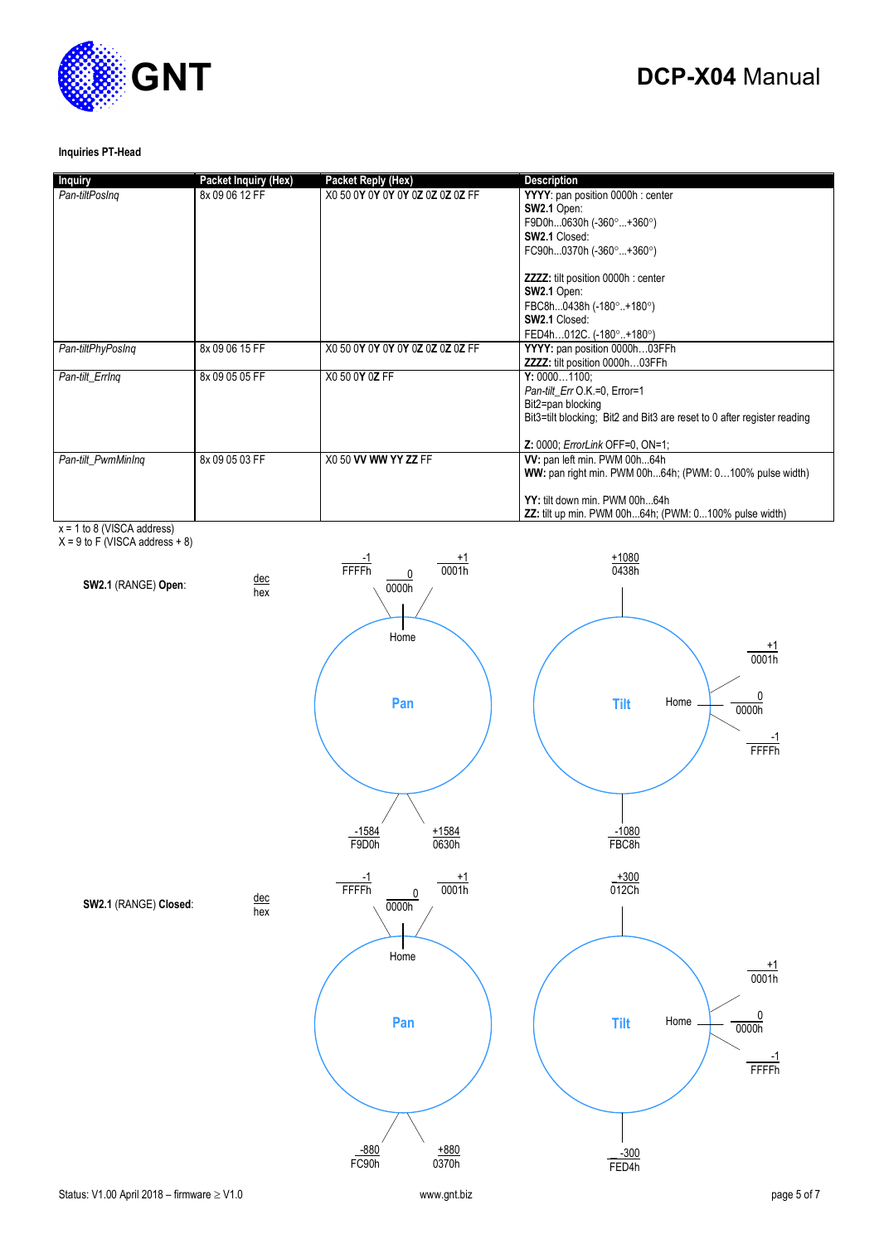

#### **Inquiries PT-Head**

| <b>Inquiry</b>     | Packet Inquiry (Hex) | <b>Packet Reply (Hex)</b>        | <b>Description</b>                                                                                                                                                                      |
|--------------------|----------------------|----------------------------------|-----------------------------------------------------------------------------------------------------------------------------------------------------------------------------------------|
| Pan-tiltPosIng     | 8x 09 06 12 FF       | X0 50 0Y 0Y 0Y 0Y 0Z 0Z 0Z 0Z FF | YYYY: pan position 0000h : center                                                                                                                                                       |
|                    |                      |                                  | SW2.1 Open:                                                                                                                                                                             |
|                    |                      |                                  | F9D0h0630h (-360 $^{\circ}$ +360 $^{\circ}$ )                                                                                                                                           |
|                    |                      |                                  | SW2.1 Closed:                                                                                                                                                                           |
|                    |                      |                                  | FC90h0370h (-360°+360°)                                                                                                                                                                 |
|                    |                      |                                  | <b>ZZZZ:</b> tilt position 0000h : center                                                                                                                                               |
|                    |                      |                                  | SW2.1 Open:                                                                                                                                                                             |
|                    |                      |                                  | FBC8h0438h (-180°+180°)                                                                                                                                                                 |
|                    |                      |                                  | <b>SW2.1 Closed:</b>                                                                                                                                                                    |
|                    |                      |                                  | FED4h012C. (-180°+180°)                                                                                                                                                                 |
| Pan-tiltPhyPosIng  | 8x 09 06 15 FF       | X0 50 0Y 0Y 0Y 0Y 0Z 0Z 0Z 0Z FF | YYYY: pan position 0000h03FFh                                                                                                                                                           |
|                    |                      |                                  | ZZZZ: tilt position 0000h03FFh                                                                                                                                                          |
| Pan-tilt ErrIng    | 8x 09 05 05 FF       | X0 50 0Y 0Z FF                   | Y: 00001100:                                                                                                                                                                            |
|                    |                      |                                  | Pan-tilt Err O.K.=0, Error=1                                                                                                                                                            |
|                    |                      |                                  | Bit2=pan blocking                                                                                                                                                                       |
|                    |                      |                                  | Bit3=tilt blocking; Bit2 and Bit3 are reset to 0 after register reading                                                                                                                 |
|                    |                      |                                  |                                                                                                                                                                                         |
|                    |                      |                                  | <b>Z: 0000; ErrorLink OFF=0, ON=1;</b>                                                                                                                                                  |
|                    |                      |                                  |                                                                                                                                                                                         |
|                    |                      |                                  |                                                                                                                                                                                         |
|                    |                      |                                  |                                                                                                                                                                                         |
|                    |                      |                                  |                                                                                                                                                                                         |
| Pan-tilt PwmMinIng | 8x 09 05 03 FF       | X0 50 VV WW YY ZZ FF             | W: pan left min. PWM 00h64h<br>WW: pan right min. PWM 00h64h; (PWM: 0100% pulse width)<br>YY: tilt down min. PWM 00h64h<br><b>ZZ:</b> tilt up min. PWM 00h64h; (PWM: 0100% pulse width) |

x = 1 to 8 (VISCA address)

 $X = 9$  to F (VISCA address  $+8$ )

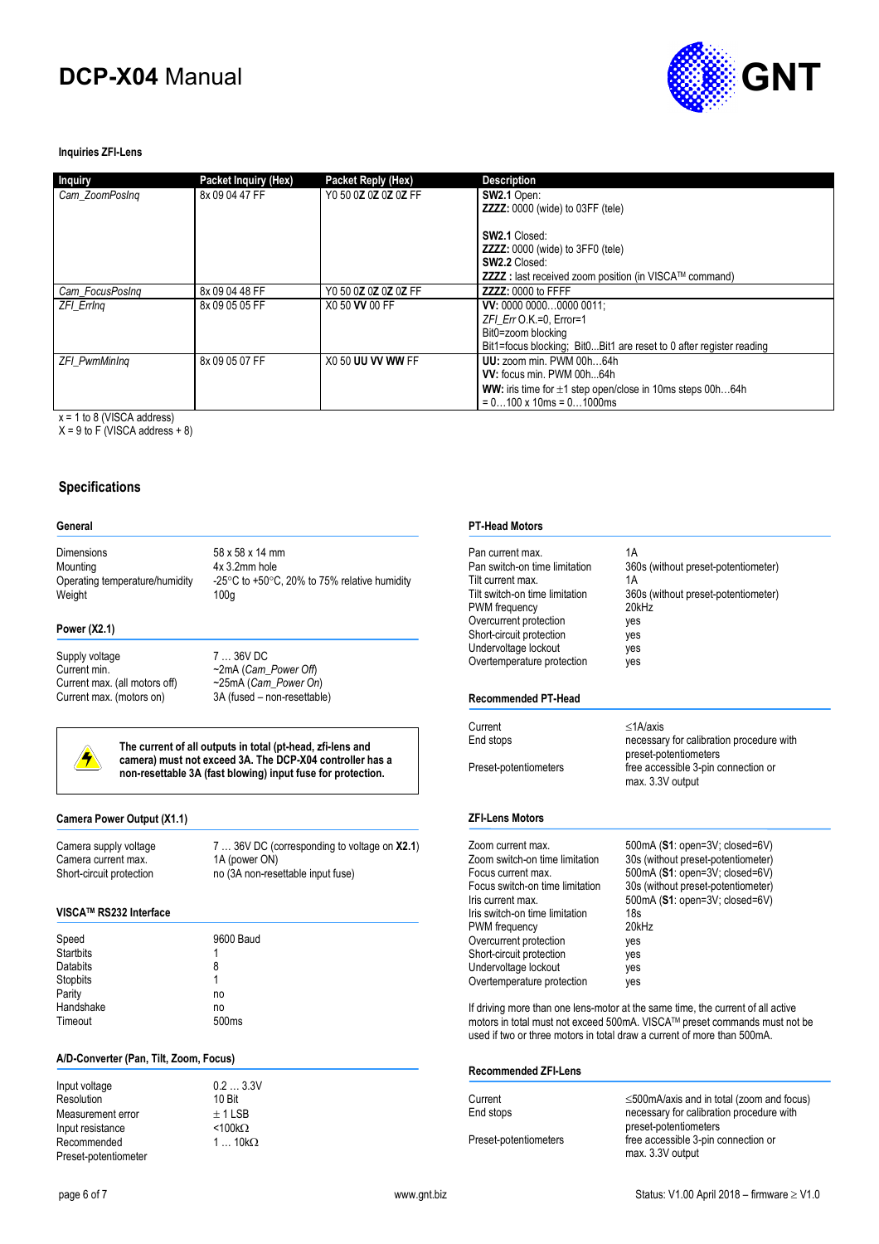

#### **Inquiries ZFI-Lens**

| Inquiry              | Packet Inquiry (Hex) | Packet Reply (Hex)   | <b>Description</b>                                                    |
|----------------------|----------------------|----------------------|-----------------------------------------------------------------------|
| Cam ZoomPosing       | 8x 09 04 47 FF       | Y0 50 0Z 0Z 0Z 0Z FF | SW2.1 Open:                                                           |
|                      |                      |                      | <b>ZZZZ:</b> 0000 (wide) to 03FF (tele)                               |
|                      |                      |                      | <b>SW2.1 Closed:</b>                                                  |
|                      |                      |                      | <b>ZZZZ:</b> 0000 (wide) to 3FF0 (tele)                               |
|                      |                      |                      | <b>SW2.2 Closed:</b>                                                  |
|                      |                      |                      | ZZZZ : last received zoom position (in VISCA™ command)                |
| Cam FocusPosing      | 8x 09 04 48 FF       | Y0 50 0Z 0Z 0Z 0Z FF | ZZZZ: 0000 to FFFF                                                    |
| <b>ZFI Erring</b>    | 8x 09 05 05 FF       | X0 50 VV 00 FF       | VV: 0000 00000000 0011:                                               |
|                      |                      |                      | $ZFI$ Err O.K.=0. Error=1                                             |
|                      |                      |                      | Bit0=zoom blocking                                                    |
|                      |                      |                      | Bit1=focus blocking: Bit0Bit1 are reset to 0 after register reading   |
| <b>ZFI PwmMinIng</b> | 8x 09 05 07 FF       | X0 50 UU VV WW FF    | UU: zoom min. PWM 00h64h                                              |
|                      |                      |                      | VV: focus min. PWM 00h64h                                             |
|                      |                      |                      | <b>WW:</b> iris time for $\pm 1$ step open/close in 10ms steps 00h64h |
|                      |                      |                      | $= 0100 \times 10$ ms = 01000 ms                                      |

 $x = 1$  to 8 (VISCA address)

 $X = 9$  to F (VISCA address + 8)

#### **Specifications**

#### **General**

Dimensions 58 x 58 x 14 mm Mounting  $4x$  3.2mm hole<br>Operating temperature/humidity  $-25^{\circ}$ C to +50 $^{\circ}$ C Weight 100g

-25 $\degree$ C to +50 $\degree$ C, 20% to 75% relative humidity

#### **Power (X2.1)**

Supply voltage 7 ... 36V DC<br>Current min.  $\sim$  2mA (Cam Current max. (all motors off) ~25mA (*Cam\_Power On*)

~2mA (*Cam\_Power Off*) 3A (fused – non-resettable)



**The current of all outputs in total (pt-head, zfi-lens and camera) must not exceed 3A. The DCP-X04 controller has a non-resettable 3A (fast blowing) input fuse for protection.** 

#### **Camera Power Output (X1.1)**

Camera current max.<br>Short-circuit protection

Camera supply voltage 7 ... 36V DC (corresponding to voltage on **X2.1**)<br>Camera current max. 1A (power ON) no (3A non-resettable input fuse)

#### **VISCATM RS232 Interface**

| Speed            | 9600 Baud         |
|------------------|-------------------|
| <b>Startbits</b> | 1                 |
| <b>Databits</b>  | 8                 |
| Stopbits         | 1                 |
| Parity           | no                |
| Handshake        | no                |
| Timeout          | 500 <sub>ms</sub> |

#### **A/D-Converter (Pan, Tilt, Zoom, Focus)**

| Input voltage        | 0.23.3         |
|----------------------|----------------|
| Resolution           | 10 Bit         |
| Measurement error    | $+1$ LSB       |
| Input resistance     | $< 100k\Omega$ |
| Recommended          | $110k\Omega$   |
| Preset-potentiometer |                |

| IV BII |                |  |  |
|--------|----------------|--|--|
|        | $\pm$ 1 LSB    |  |  |
|        | <100k $\Omega$ |  |  |
|        | 1  10kΩ        |  |  |
|        |                |  |  |

 $0.2 ... 3.3V$ 

#### **PT-Head Motors**

| Pan current max.<br>Pan switch-on time limitation<br>Tilt current max.<br>Tilt switch-on time limitation<br>PWM frequency<br>Overcurrent protection<br>Short-circuit protection<br>Undervoltage lockout<br>Overtemperature protection<br>Recommended PT-Head | 1A<br>360s (without preset-potentiometer)<br>1A<br>360s (without preset-potentiometer)<br>20kHz<br>yes<br>yes<br>yes<br>yes                                                                                                             |
|--------------------------------------------------------------------------------------------------------------------------------------------------------------------------------------------------------------------------------------------------------------|-----------------------------------------------------------------------------------------------------------------------------------------------------------------------------------------------------------------------------------------|
|                                                                                                                                                                                                                                                              |                                                                                                                                                                                                                                         |
| Current                                                                                                                                                                                                                                                      | $<$ 1A/axis                                                                                                                                                                                                                             |
| End stops                                                                                                                                                                                                                                                    | necessary for calibration procedure with<br>preset-potentiometers                                                                                                                                                                       |
| Preset-potentiometers                                                                                                                                                                                                                                        | free accessible 3-pin connection or<br>max. 3.3V output                                                                                                                                                                                 |
| <b>ZFI-Lens Motors</b>                                                                                                                                                                                                                                       |                                                                                                                                                                                                                                         |
| Zoom current max.                                                                                                                                                                                                                                            | 500mA (S1: open=3V; closed=6V)                                                                                                                                                                                                          |
| Zoom switch-on time limitation                                                                                                                                                                                                                               | 30s (without preset-potentiometer)                                                                                                                                                                                                      |
| Focus current max.                                                                                                                                                                                                                                           | 500mA (S1: open=3V; closed=6V)                                                                                                                                                                                                          |
| Focus switch-on time limitation                                                                                                                                                                                                                              | 30s (without preset-potentiometer)                                                                                                                                                                                                      |
| Iris current max.                                                                                                                                                                                                                                            | 500mA (S1: open=3V; closed=6V)<br>18s                                                                                                                                                                                                   |
| Iris switch-on time limitation<br>PWM frequency                                                                                                                                                                                                              | 20kHz                                                                                                                                                                                                                                   |
| Overcurrent protection                                                                                                                                                                                                                                       | yes                                                                                                                                                                                                                                     |
| Short-circuit protection                                                                                                                                                                                                                                     | yes                                                                                                                                                                                                                                     |
| Undervoltage lockout                                                                                                                                                                                                                                         | yes                                                                                                                                                                                                                                     |
| Overtemperature protection                                                                                                                                                                                                                                   | yes                                                                                                                                                                                                                                     |
|                                                                                                                                                                                                                                                              | If driving more than one lens-motor at the same time, the current of all active<br>motors in total must not exceed 500mA. VISCA™ preset commands must not be<br>used if two or three motors in total draw a current of more than 500mA. |
| <b>Recommended ZFI-Lens</b>                                                                                                                                                                                                                                  |                                                                                                                                                                                                                                         |
|                                                                                                                                                                                                                                                              |                                                                                                                                                                                                                                         |

| Current               | $\leq$ 500mA/axis and in total (zoom and focus) |
|-----------------------|-------------------------------------------------|
| End stops             | necessary for calibration procedure with        |
|                       | preset-potentiometers                           |
| Preset-potentiometers | free accessible 3-pin connection or             |
|                       | max. 3.3V output                                |